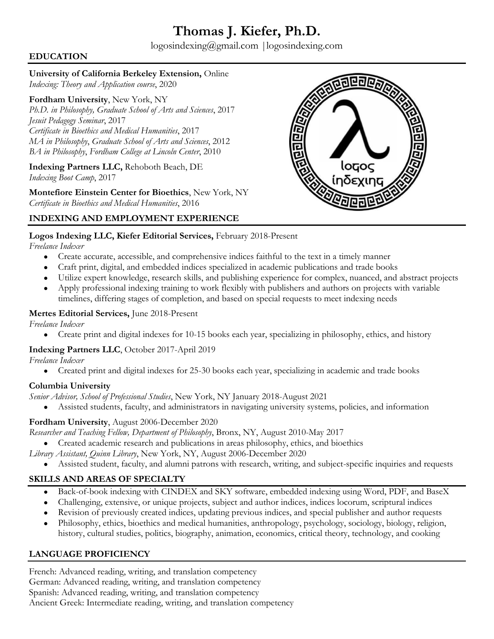# **Thomas J. Kiefer, Ph.D.**

logosindexing@gmail.com |logosindexing.com

## **EDUCATION**

#### **University of California Berkeley Extension,** Online

*Indexing: Theory and Application course*, 2020

**Fordham University**, New York, NY *Ph.D. in Philosophy, Graduate School of Arts and Sciences*, 2017 *Jesuit Pedagogy Seminar*, 2017 *Certificate in Bioethics and Medical Humanities*, 2017 *MA in Philosophy*, *Graduate School of Arts and Sciences*, 2012 *BA in Philosophy*, *Fordham College at Lincoln Center*, 2010

**Indexing Partners LLC,** Rehoboth Beach, DE *Indexing Boot Camp*, 2017

**Montefiore Einstein Center for Bioethics**, New York, NY *Certificate in Bioethics and Medical Humanities*, 2016



### **INDEXING AND EMPLOYMENT EXPERIENCE**

#### **Logos Indexing LLC, Kiefer Editorial Services,** February 2018-Present

*Freelance Indexer*

- Create accurate, accessible, and comprehensive indices faithful to the text in a timely manner
- Craft print, digital, and embedded indices specialized in academic publications and trade books
- Utilize expert knowledge, research skills, and publishing experience for complex, nuanced, and abstract projects
- Apply professional indexing training to work flexibly with publishers and authors on projects with variable
- timelines, differing stages of completion, and based on special requests to meet indexing needs

### **Mertes Editorial Services,** June 2018-Present

*Freelance Indexer*

• Create print and digital indexes for 10-15 books each year, specializing in philosophy, ethics, and history

## **Indexing Partners LLC**, October 2017-April 2019

*Freelance Indexer*

• Created print and digital indexes for 25-30 books each year, specializing in academic and trade books

## **Columbia University**

- *Senior Advisor, School of Professional Studies*, New York, NY January 2018-August 2021
	- Assisted students, faculty, and administrators in navigating university systems, policies, and information

## **Fordham University**, August 2006-December 2020

*Researcher and Teaching Fellow, Department of Philosophy*, Bronx, NY, August 2010-May 2017

- Created academic research and publications in areas philosophy, ethics, and bioethics
- *Library Assistant, Quinn Library*, New York, NY, August 2006-December 2020
	- Assisted student, faculty, and alumni patrons with research, writing, and subject-specific inquiries and requests

# **SKILLS AND AREAS OF SPECIALTY**

- Back-of-book indexing with CINDEX and SKY software, embedded indexing using Word, PDF, and BaseX
- Challenging, extensive, or unique projects, subject and author indices, indices locorum, scriptural indices
- Revision of previously created indices, updating previous indices, and special publisher and author requests
- Philosophy, ethics, bioethics and medical humanities, anthropology, psychology, sociology, biology, religion, history, cultural studies, politics, biography, animation, economics, critical theory, technology, and cooking

# **LANGUAGE PROFICIENCY**

French: Advanced reading, writing, and translation competency German: Advanced reading, writing, and translation competency Spanish: Advanced reading, writing, and translation competency Ancient Greek: Intermediate reading, writing, and translation competency